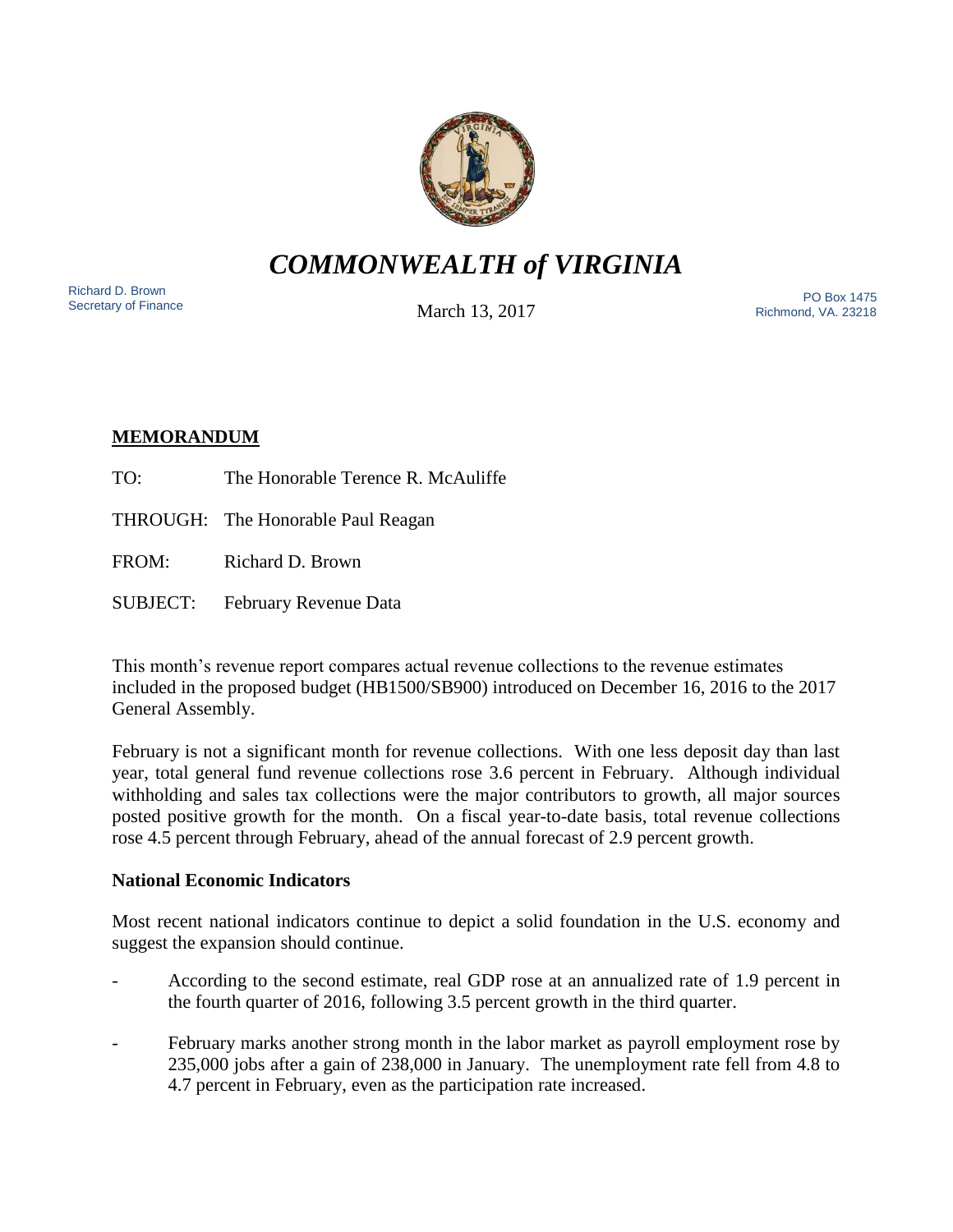

# *COMMONWEALTH of VIRGINIA*

Richard D. Brown<br>Secretary of Finance

March 13, 2017

Nichard D. Brown<br>Secretary of Finance The PO Box 1475 Richmond, VA. 23218

# **MEMORANDUM**

- TO: The Honorable Terence R. McAuliffe
- THROUGH: The Honorable Paul Reagan
- FROM: Richard D. Brown
- SUBJECT: February Revenue Data

This month's revenue report compares actual revenue collections to the revenue estimates included in the proposed budget (HB1500/SB900) introduced on December 16, 2016 to the 2017 General Assembly.

February is not a significant month for revenue collections. With one less deposit day than last year, total general fund revenue collections rose 3.6 percent in February. Although individual withholding and sales tax collections were the major contributors to growth, all major sources posted positive growth for the month. On a fiscal year-to-date basis, total revenue collections rose 4.5 percent through February, ahead of the annual forecast of 2.9 percent growth.

## **National Economic Indicators**

Most recent national indicators continue to depict a solid foundation in the U.S. economy and suggest the expansion should continue.

- According to the second estimate, real GDP rose at an annualized rate of 1.9 percent in the fourth quarter of 2016, following 3.5 percent growth in the third quarter.
- February marks another strong month in the labor market as payroll employment rose by 235,000 jobs after a gain of 238,000 in January. The unemployment rate fell from 4.8 to 4.7 percent in February, even as the participation rate increased.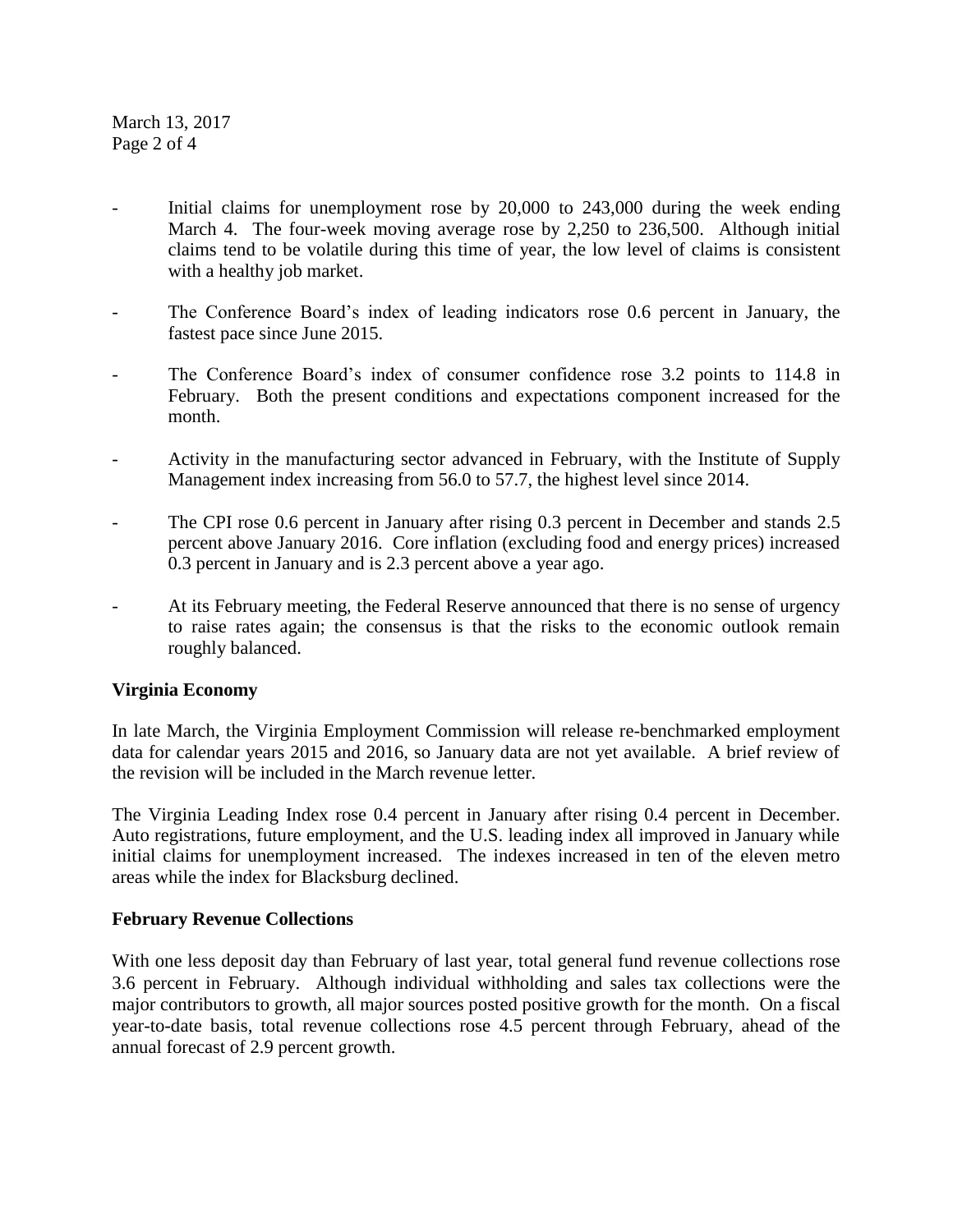March 13, 2017 Page 2 of 4

- Initial claims for unemployment rose by  $20,000$  to  $243,000$  during the week ending March 4. The four-week moving average rose by 2,250 to 236,500. Although initial claims tend to be volatile during this time of year, the low level of claims is consistent with a healthy job market.
- The Conference Board's index of leading indicators rose 0.6 percent in January, the fastest pace since June 2015.
- The Conference Board's index of consumer confidence rose 3.2 points to 114.8 in February. Both the present conditions and expectations component increased for the month.
- Activity in the manufacturing sector advanced in February, with the Institute of Supply Management index increasing from 56.0 to 57.7, the highest level since 2014.
- The CPI rose 0.6 percent in January after rising 0.3 percent in December and stands 2.5 percent above January 2016. Core inflation (excluding food and energy prices) increased 0.3 percent in January and is 2.3 percent above a year ago.
- At its February meeting, the Federal Reserve announced that there is no sense of urgency to raise rates again; the consensus is that the risks to the economic outlook remain roughly balanced.

## **Virginia Economy**

In late March, the Virginia Employment Commission will release re-benchmarked employment data for calendar years 2015 and 2016, so January data are not yet available. A brief review of the revision will be included in the March revenue letter.

The Virginia Leading Index rose 0.4 percent in January after rising 0.4 percent in December. Auto registrations, future employment, and the U.S. leading index all improved in January while initial claims for unemployment increased. The indexes increased in ten of the eleven metro areas while the index for Blacksburg declined.

## **February Revenue Collections**

With one less deposit day than February of last year, total general fund revenue collections rose 3.6 percent in February. Although individual withholding and sales tax collections were the major contributors to growth, all major sources posted positive growth for the month. On a fiscal year-to-date basis, total revenue collections rose 4.5 percent through February, ahead of the annual forecast of 2.9 percent growth.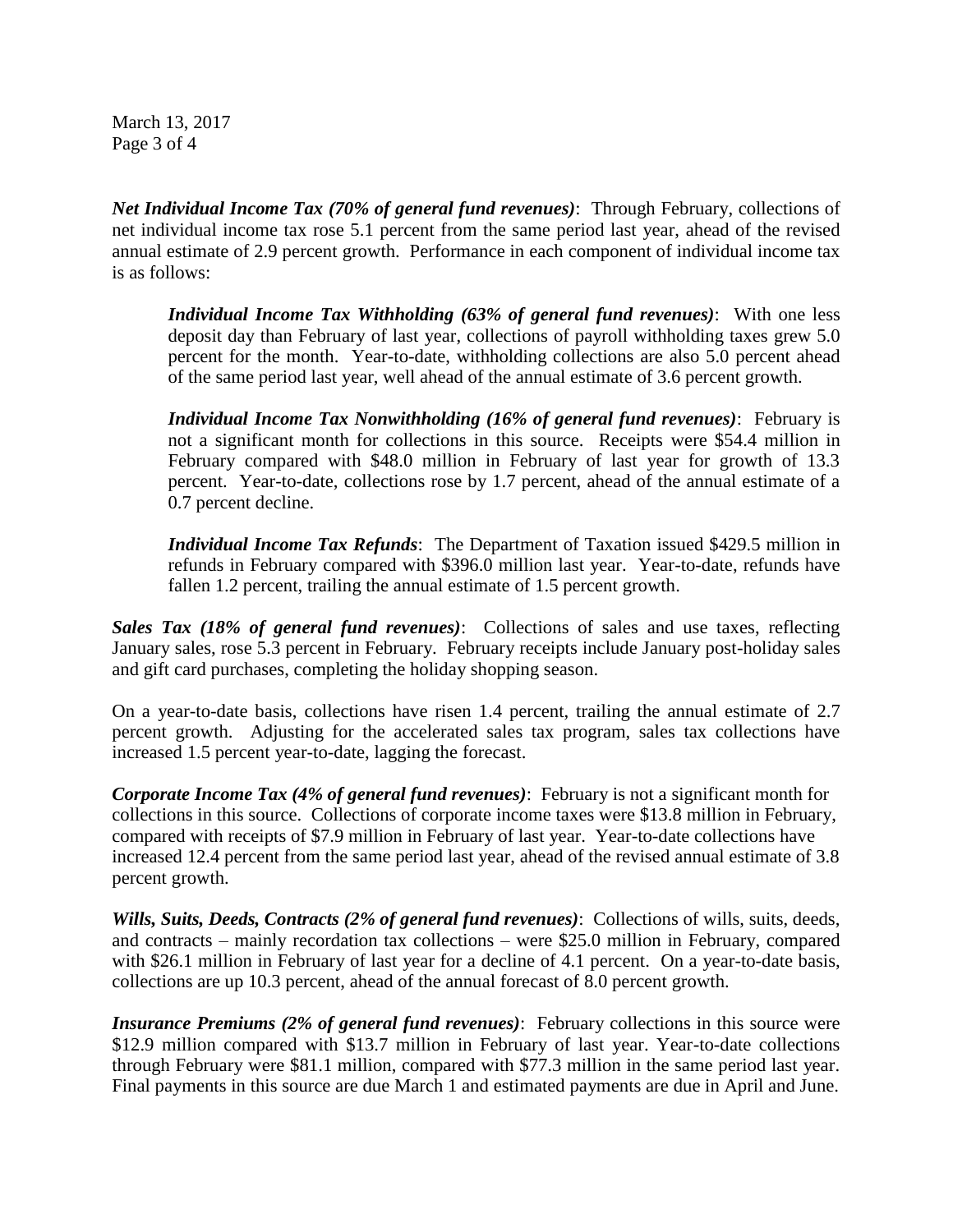March 13, 2017 Page 3 of 4

*Net Individual Income Tax (70% of general fund revenues)*: Through February, collections of net individual income tax rose 5.1 percent from the same period last year, ahead of the revised annual estimate of 2.9 percent growth. Performance in each component of individual income tax is as follows:

*Individual Income Tax Withholding (63% of general fund revenues)*: With one less deposit day than February of last year, collections of payroll withholding taxes grew 5.0 percent for the month. Year-to-date, withholding collections are also 5.0 percent ahead of the same period last year, well ahead of the annual estimate of 3.6 percent growth.

*Individual Income Tax Nonwithholding (16% of general fund revenues)*: February is not a significant month for collections in this source. Receipts were \$54.4 million in February compared with \$48.0 million in February of last year for growth of 13.3 percent. Year-to-date, collections rose by 1.7 percent, ahead of the annual estimate of a 0.7 percent decline.

*Individual Income Tax Refunds*: The Department of Taxation issued \$429.5 million in refunds in February compared with \$396.0 million last year. Year-to-date, refunds have fallen 1.2 percent, trailing the annual estimate of 1.5 percent growth.

*Sales Tax (18% of general fund revenues)*: Collections of sales and use taxes, reflecting January sales, rose 5.3 percent in February. February receipts include January post-holiday sales and gift card purchases, completing the holiday shopping season.

On a year-to-date basis, collections have risen 1.4 percent, trailing the annual estimate of 2.7 percent growth. Adjusting for the accelerated sales tax program, sales tax collections have increased 1.5 percent year-to-date, lagging the forecast.

*Corporate Income Tax (4% of general fund revenues)*: February is not a significant month for collections in this source. Collections of corporate income taxes were \$13.8 million in February, compared with receipts of \$7.9 million in February of last year. Year-to-date collections have increased 12.4 percent from the same period last year, ahead of the revised annual estimate of 3.8 percent growth.

*Wills, Suits, Deeds, Contracts (2% of general fund revenues)*: Collections of wills, suits, deeds, and contracts – mainly recordation tax collections – were \$25.0 million in February, compared with \$26.1 million in February of last year for a decline of 4.1 percent. On a year-to-date basis, collections are up 10.3 percent, ahead of the annual forecast of 8.0 percent growth.

*Insurance Premiums (2% of general fund revenues)*: February collections in this source were \$12.9 million compared with \$13.7 million in February of last year. Year-to-date collections through February were \$81.1 million, compared with \$77.3 million in the same period last year. Final payments in this source are due March 1 and estimated payments are due in April and June.